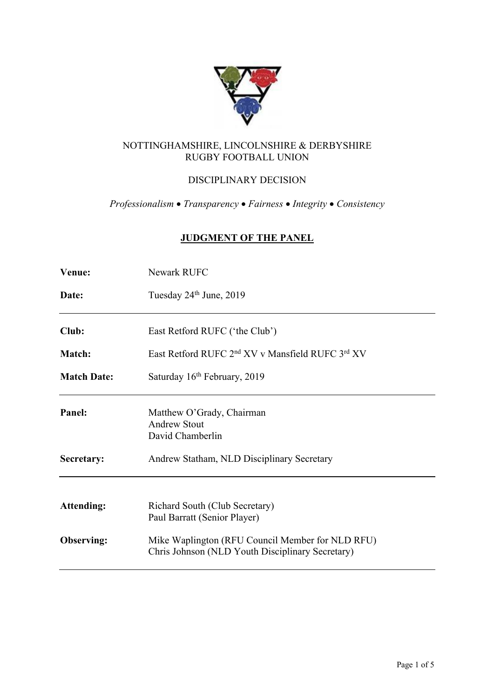

# NOTTINGHAMSHIRE, LINCOLNSHIRE & DERBYSHIRE RUGBY FOOTBALL UNION

# DISCIPLINARY DECISION

*Professionalism* • *Transparency* • *Fairness* • *Integrity* • *Consistency*

# **JUDGMENT OF THE PANEL**

| <b>Venue:</b>      | <b>Newark RUFC</b>                                                                                   |
|--------------------|------------------------------------------------------------------------------------------------------|
| Date:              | Tuesday 24 <sup>th</sup> June, 2019                                                                  |
| Club:              | East Retford RUFC ('the Club')                                                                       |
| <b>Match:</b>      | East Retford RUFC 2 <sup>nd</sup> XV v Mansfield RUFC 3 <sup>rd</sup> XV                             |
| <b>Match Date:</b> | Saturday 16 <sup>th</sup> February, 2019                                                             |
| Panel:             | Matthew O'Grady, Chairman<br><b>Andrew Stout</b><br>David Chamberlin                                 |
| Secretary:         | Andrew Statham, NLD Disciplinary Secretary                                                           |
| <b>Attending:</b>  | Richard South (Club Secretary)<br>Paul Barratt (Senior Player)                                       |
| Observing:         | Mike Waplington (RFU Council Member for NLD RFU)<br>Chris Johnson (NLD Youth Disciplinary Secretary) |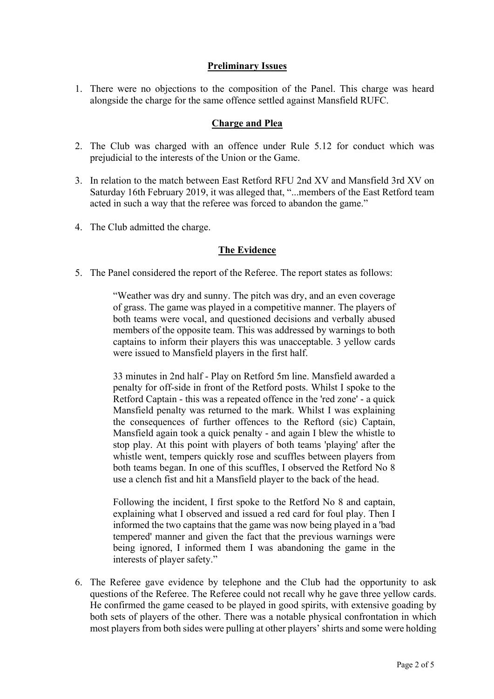## **Preliminary Issues**

1. There were no objections to the composition of the Panel. This charge was heard alongside the charge for the same offence settled against Mansfield RUFC.

## **Charge and Plea**

- 2. The Club was charged with an offence under Rule 5.12 for conduct which was prejudicial to the interests of the Union or the Game.
- 3. In relation to the match between East Retford RFU 2nd XV and Mansfield 3rd XV on Saturday 16th February 2019, it was alleged that, "...members of the East Retford team acted in such a way that the referee was forced to abandon the game."
- 4. The Club admitted the charge.

### **The Evidence**

5. The Panel considered the report of the Referee. The report states as follows:

"Weather was dry and sunny. The pitch was dry, and an even coverage of grass. The game was played in a competitive manner. The players of both teams were vocal, and questioned decisions and verbally abused members of the opposite team. This was addressed by warnings to both captains to inform their players this was unacceptable. 3 yellow cards were issued to Mansfield players in the first half.

33 minutes in 2nd half - Play on Retford 5m line. Mansfield awarded a penalty for off-side in front of the Retford posts. Whilst I spoke to the Retford Captain - this was a repeated offence in the 'red zone' - a quick Mansfield penalty was returned to the mark. Whilst I was explaining the consequences of further offences to the Reftord (sic) Captain, Mansfield again took a quick penalty - and again I blew the whistle to stop play. At this point with players of both teams 'playing' after the whistle went, tempers quickly rose and scuffles between players from both teams began. In one of this scuffles, I observed the Retford No 8 use a clench fist and hit a Mansfield player to the back of the head.

Following the incident, I first spoke to the Retford No 8 and captain, explaining what I observed and issued a red card for foul play. Then I informed the two captains that the game was now being played in a 'bad tempered' manner and given the fact that the previous warnings were being ignored, I informed them I was abandoning the game in the interests of player safety."

6. The Referee gave evidence by telephone and the Club had the opportunity to ask questions of the Referee. The Referee could not recall why he gave three yellow cards. He confirmed the game ceased to be played in good spirits, with extensive goading by both sets of players of the other. There was a notable physical confrontation in which most players from both sides were pulling at other players' shirts and some were holding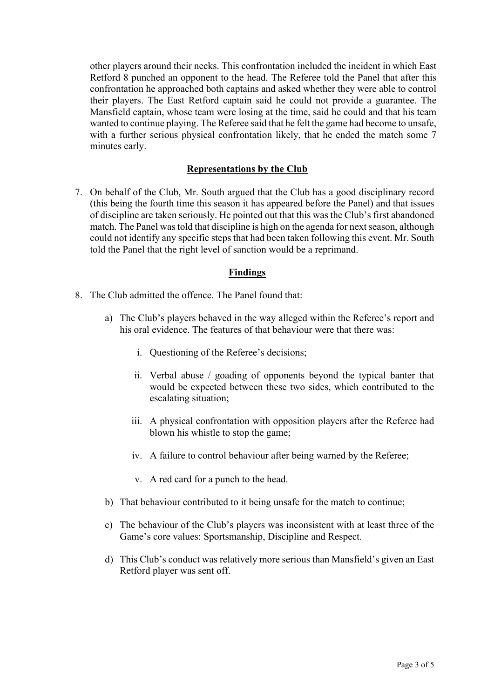other players around their necks. This confrontation included the incident in which East Retford 8 punched an opponent to the head. The Referee told the Panel that after this confrontation he approached both captains and asked whether they were able to control their players. The East Retford captain said he could not provide a guarantee. The Mansfield captain, whose team were losing at the time, said he could and that his team wanted to continue playing. The Referee said that he felt the game had become to unsafe, with a further serious physical confrontation likely, that he ended the match some 7 minutes early.

#### **Representations by the Club**

7. On behalf of the Club, Mr. South argued that the Club has a good disciplinary record (this being the fourth time this season it has appeared before the Panel) and that issues of discipline are taken seriously. He pointed out that this was the Club's first abandoned match. The Panel was told that discipline is high on the agenda for next season, although could not identify any specific steps that had been taken following this event. Mr. South told the Panel that the right level of sanction would be a reprimand.

### **Findings**

- 8. The Club admitted the offence. The Panel found that:
	- a) The Club's players behaved in the way alleged within the Referee's report and his oral evidence. The features of that behaviour were that there was:
		- i. Questioning of the Referee's decisions;
		- ii. Verbal abuse / goading of opponents beyond the typical banter that would be expected between these two sides, which contributed to the escalating situation;
		- iii. A physical confrontation with opposition players after the Referee had blown his whistle to stop the game;
		- iv. A failure to control behaviour after being warned by the Referee;
		- v. A red card for a punch to the head.
	- b) That behaviour contributed to it being unsafe for the match to continue;
	- c) The behaviour of the Club's players was inconsistent with at least three of the Game's core values: Sportsmanship, Discipline and Respect.
	- d) This Club's conduct was relatively more serious than Mansfield's given an East Retford player was sent off.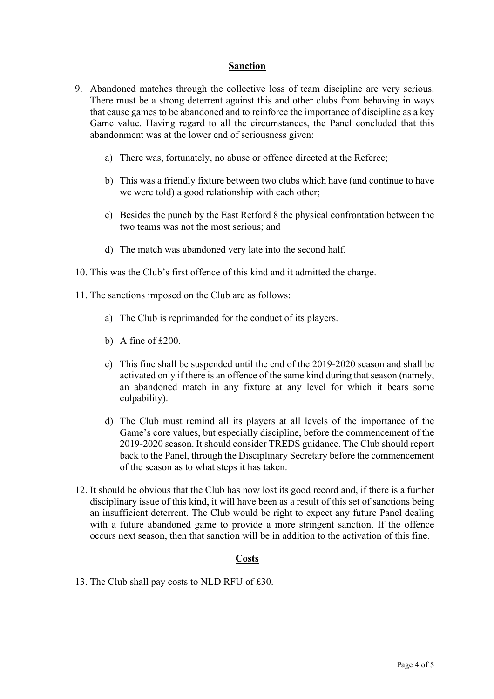#### **Sanction**

- 9. Abandoned matches through the collective loss of team discipline are very serious. There must be a strong deterrent against this and other clubs from behaving in ways that cause games to be abandoned and to reinforce the importance of discipline as a key Game value. Having regard to all the circumstances, the Panel concluded that this abandonment was at the lower end of seriousness given:
	- a) There was, fortunately, no abuse or offence directed at the Referee;
	- b) This was a friendly fixture between two clubs which have (and continue to have we were told) a good relationship with each other;
	- c) Besides the punch by the East Retford 8 the physical confrontation between the two teams was not the most serious; and
	- d) The match was abandoned very late into the second half.
- 10. This was the Club's first offence of this kind and it admitted the charge.
- 11. The sanctions imposed on the Club are as follows:
	- a) The Club is reprimanded for the conduct of its players.
	- b) A fine of £200.
	- c) This fine shall be suspended until the end of the 2019-2020 season and shall be activated only if there is an offence of the same kind during that season (namely, an abandoned match in any fixture at any level for which it bears some culpability).
	- d) The Club must remind all its players at all levels of the importance of the Game's core values, but especially discipline, before the commencement of the 2019-2020 season. It should consider TREDS guidance. The Club should report back to the Panel, through the Disciplinary Secretary before the commencement of the season as to what steps it has taken.
- 12. It should be obvious that the Club has now lost its good record and, if there is a further disciplinary issue of this kind, it will have been as a result of this set of sanctions being an insufficient deterrent. The Club would be right to expect any future Panel dealing with a future abandoned game to provide a more stringent sanction. If the offence occurs next season, then that sanction will be in addition to the activation of this fine.

#### **Costs**

13. The Club shall pay costs to NLD RFU of £30.